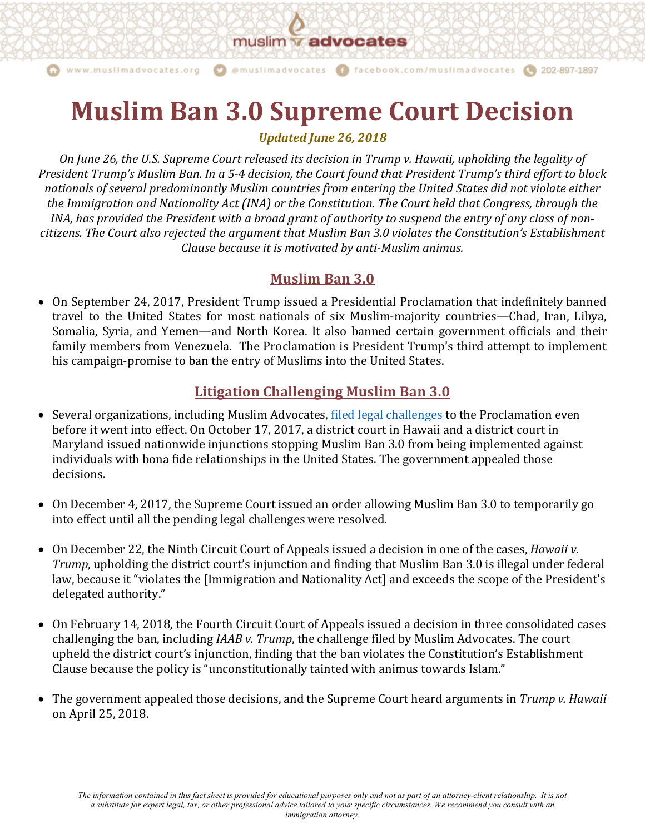muslim **advocates** 

@muslimadvocates

www.muslimadvocates.org

# **Muslim Ban 3.0 Supreme Court Decision**

f facebook.com/muslimadvocates

202-897-1897

*Updated June 26, 2018*

*On June 26, the U.S. Supreme Court released its decision in Trump v. Hawaii, upholding the legality of President Trump's Muslim Ban. In a 5-4 decision, the Court found that President Trump's third effort to block* nationals of several predominantly Muslim countries from entering the United States did not violate either *the Immigration and Nationality Act (INA) or the Constitution. The Court held that Congress, through the INA, has provided the President with a broad grant of authority to suspend the entry of any class of non*citizens. The Court also rejected the argument that Muslim Ban 3.0 violates the Constitution's Establishment *Clause because it is motivated by anti-Muslim animus.* 

## **Muslim Ban 3.0**

• On September 24, 2017, President Trump issued a Presidential Proclamation that indefinitely banned travel to the United States for most nationals of six Muslim-majority countries—Chad, Iran, Libya, Somalia, Syria, and Yemen—and North Korea. It also banned certain government officials and their family members from Venezuela. The Proclamation is President Trump's third attempt to implement his campaign-promise to ban the entry of Muslims into the United States.

## **Litigation Challenging Muslim Ban 3.0**

- Several organizations, including Muslim Advocates, filed legal challenges to the Proclamation even before it went into effect. On October 17, 2017, a district court in Hawaii and a district court in Maryland issued nationwide injunctions stopping Muslim Ban 3.0 from being implemented against individuals with bona fide relationships in the United States. The government appealed those decisions.
- On December 4, 2017, the Supreme Court issued an order allowing Muslim Ban 3.0 to temporarily go into effect until all the pending legal challenges were resolved.
- On December 22, the Ninth Circuit Court of Appeals issued a decision in one of the cases, *Hawaii v. Trump*, upholding the district court's injunction and finding that Muslim Ban 3.0 is illegal under federal law, because it "violates the [Immigration and Nationality Act] and exceeds the scope of the President's delegated authority."
- On February 14, 2018, the Fourth Circuit Court of Appeals issued a decision in three consolidated cases challenging the ban, including *IAAB v. Trump*, the challenge filed by Muslim Advocates. The court upheld the district court's injunction, finding that the ban violates the Constitution's Establishment Clause because the policy is "unconstitutionally tainted with animus towards Islam."
- The government appealed those decisions, and the Supreme Court heard arguments in *Trump v. Hawaii* on April 25, 2018.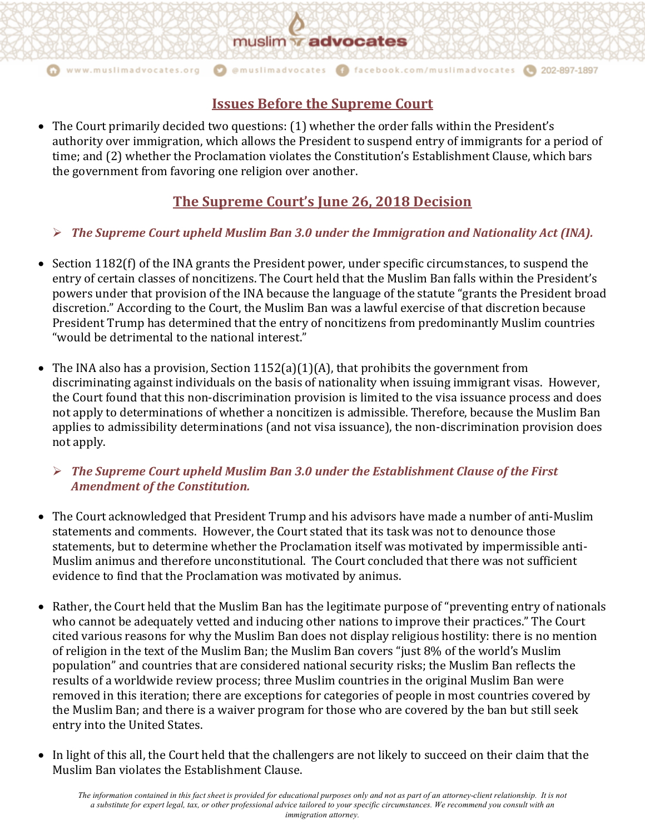## muslim **advocates**

@muslimadvocates

#### www.muslimadvocates.org

## **Issues Before the Supreme Court**

f facebook.com/muslimadvocates

202-897-1897

• The Court primarily decided two questions: (1) whether the order falls within the President's authority over immigration, which allows the President to suspend entry of immigrants for a period of time; and (2) whether the Proclamation violates the Constitution's Establishment Clause, which bars the government from favoring one religion over another.

## **The Supreme Court's June 26, 2018 Decision**

### **►** The Supreme Court upheld Muslim Ban 3.0 under the Immigration and Nationality Act (INA).

- Section 1182(f) of the INA grants the President power, under specific circumstances, to suspend the entry of certain classes of noncitizens. The Court held that the Muslim Ban falls within the President's powers under that provision of the INA because the language of the statute "grants the President broad discretion." According to the Court, the Muslim Ban was a lawful exercise of that discretion because President Trump has determined that the entry of noncitizens from predominantly Muslim countries "would be detrimental to the national interest."
- The INA also has a provision, Section  $1152(a)(1)(A)$ , that prohibits the government from discriminating against individuals on the basis of nationality when issuing immigrant visas. However, the Court found that this non-discrimination provision is limited to the visa issuance process and does not apply to determinations of whether a noncitizen is admissible. Therefore, because the Muslim Ban applies to admissibility determinations (and not visa issuance), the non-discrimination provision does not apply.

#### **►** The Supreme Court upheld Muslim Ban 3.0 under the Establishment Clause of the First *Amendment of the Constitution.*

- The Court acknowledged that President Trump and his advisors have made a number of anti-Muslim statements and comments. However, the Court stated that its task was not to denounce those statements, but to determine whether the Proclamation itself was motivated by impermissible anti-Muslim animus and therefore unconstitutional. The Court concluded that there was not sufficient evidence to find that the Proclamation was motivated by animus.
- Rather, the Court held that the Muslim Ban has the legitimate purpose of "preventing entry of nationals who cannot be adequately vetted and inducing other nations to improve their practices." The Court cited various reasons for why the Muslim Ban does not display religious hostility: there is no mention of religion in the text of the Muslim Ban; the Muslim Ban covers "just 8% of the world's Muslim population" and countries that are considered national security risks; the Muslim Ban reflects the results of a worldwide review process; three Muslim countries in the original Muslim Ban were removed in this iteration; there are exceptions for categories of people in most countries covered by the Muslim Ban; and there is a waiver program for those who are covered by the ban but still seek entry into the United States.
- In light of this all, the Court held that the challengers are not likely to succeed on their claim that the Muslim Ban violates the Establishment Clause.